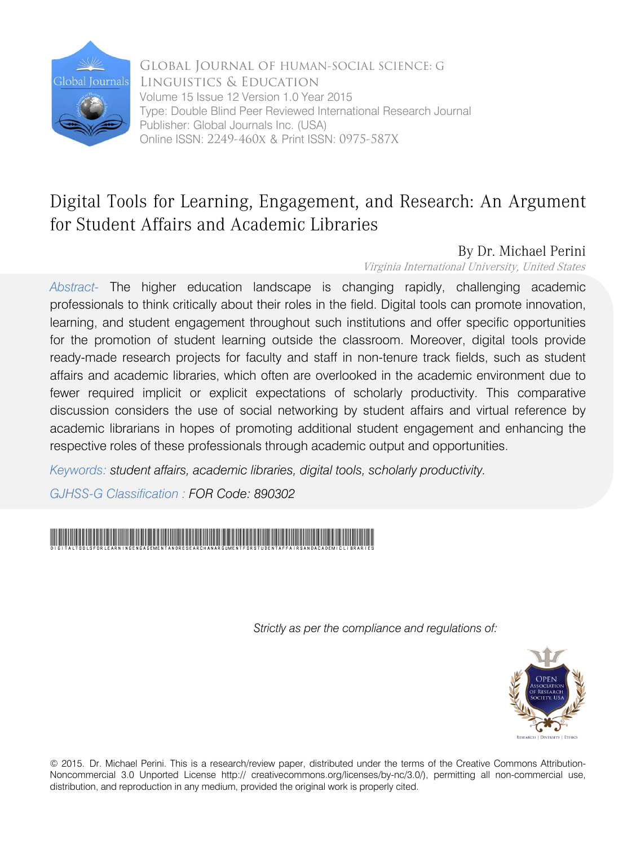

Global Journal of HUMAN-SOCIAL SCIENCE: G Linguistics & Education Volume 15 Issue 12 Version 1.0 Year 2015 Type: Double Blind Peer Reviewed International Research Journal Publisher: Global Journals Inc. (USA) Online ISSN: 2249-460x & Print ISSN: 0975-587X

# Digital Tools for Learning, Engagement, and Research: An Argument for Student Affairs and Academic Libraries

# By Dr. Michael Perini

Virginia International University, United States

*Abstract-* The higher education landscape is changing rapidly, challenging academic professionals to think critically about their roles in the field. Digital tools can promote innovation, learning, and student engagement throughout such institutions and offer specific opportunities for the promotion of student learning outside the classroom. Moreover, digital tools provide ready-made research projects for faculty and staff in non-tenure track fields, such as student affairs and academic libraries, which often are overlooked in the academic environment due to fewer required implicit or explicit expectations of scholarly productivity. This comparative discussion considers the use of social networking by student affairs and virtual reference by academic librarians in hopes of promoting additional student engagement and enhancing the respective roles of these professionals through academic output and opportunities.

*Keywords: student affairs, academic libraries, digital tools, scholarly productivity.* 

*GJHSS-G Classification : FOR Code: 890302*



 *Strictly as per the compliance and regulations of:*



© 2015. Dr. Michael Perini. This is a research/review paper, distributed under the terms of the Creative Commons Attribution-Noncommercial 3.0 Unported License http:// creativecommons.org/licenses/by-nc/3.0/), permitting all non-commercial use, distribution, and reproduction in any medium, provided the original work is properly cited.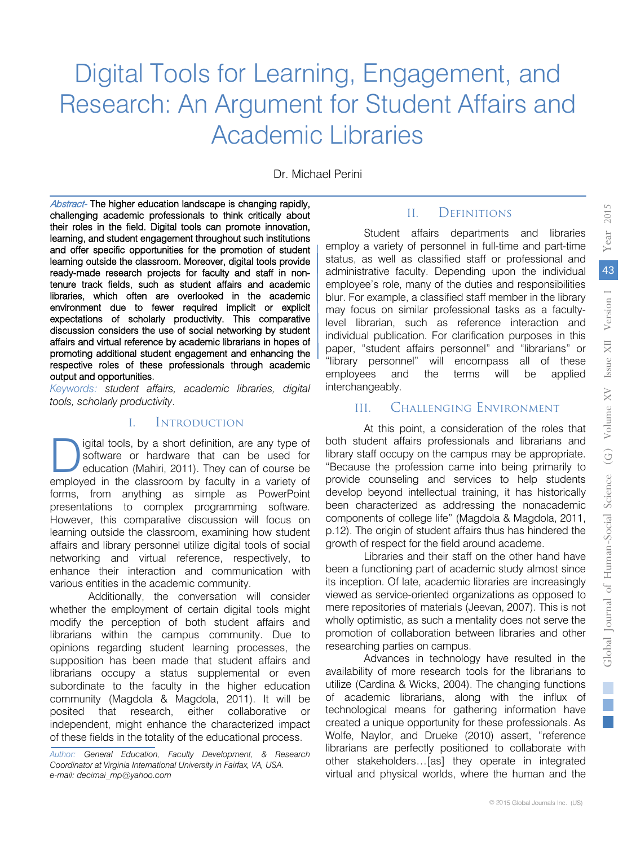# Digital Tools for Learning, Engagement, and Research: An Argument for Student Affairs and Academic Libraries

Dr. Michael Perini

Abstract- The higher education landscape is changing rapidly, challenging academic professionals to think critically about their roles in the field. Digital tools can promote innovation, learning, and student engagement throughout such institutions and offer specific opportunities for the promotion of student learning outside the classroom. Moreover, digital tools provide ready-made research projects for faculty and staff in nontenure track fields, such as student affairs and academic libraries, which often are overlooked in the academic environment due to fewer required implicit or explicit expectations of scholarly productivity. This comparative discussion considers the use of social networking by student affairs and virtual reference by academic librarians in hopes of promoting additional student engagement and enhancing the respective roles of these professionals through academic output and opportunities.

*Keywords: student affairs, academic libraries, digital tools, scholarly productivity*.

#### I. Introduction

igital tools, by a short definition, are any type of software or hardware that can be used for education (Mahiri, 2011). They can of course be **igital tools, by a short definition, are any type of software or hardware that can be used for education (Mahiri, 2011). They can of course be employed in the classroom by faculty in a variety of** forms, from anything as simple as PowerPoint presentations to complex programming software. However, this comparative discussion will focus on learning outside the classroom, examining how student affairs and library personnel utilize digital tools of social networking and virtual reference, respectively, to enhance their interaction and communication with various entities in the academic community.

Additionally, the conversation will consider whether the employment of certain digital tools might modify the perception of both student affairs and librarians within the campus community. Due to opinions regarding student learning processes, the supposition has been made that student affairs and librarians occupy a status supplemental or even subordinate to the faculty in the higher education community (Magdola & Magdola, 2011). It will be posited that research, either collaborative or independent, might enhance the characterized impact of these fields in the totality of the educational process.

*Author: General Education, Faculty Development, & Research Coordinator at Virginia International University in Fairfax, VA, USA. e-mail: decimai\_mp@yahoo.com*

#### II. Definitions

Student affairs departments and libraries employ a variety of personnel in full-time and part-time status, as well as classified staff or professional and administrative faculty. Depending upon the individual employee's role, many of the duties and responsibilities blur. For example, a classified staff member in the library may focus on similar professional tasks as a facultylevel librarian, such as reference interaction and individual publication. For clarification purposes in this paper, "student affairs personnel" and "librarians" or "library personnel" will encompass all of these employees and the terms will be applied interchangeably.

#### III. Challenging Environment

At this point, a consideration of the roles that both student affairs professionals and librarians and library staff occupy on the campus may be appropriate. "Because the profession came into being primarily to provide counseling and services to help students develop beyond intellectual training, it has historically been characterized as addressing the nonacademic components of college life" (Magdola & Magdola, 2011, p.12). The origin of student affairs thus has hindered the growth of respect for the field around academe.

Libraries and their staff on the other hand have been a functioning part of academic study almost since its inception. Of late, academic libraries are increasingly viewed as service-oriented organizations as opposed to mere repositories of materials (Jeevan, 2007). This is not wholly optimistic, as such a mentality does not serve the promotion of collaboration between libraries and other researching parties on campus.

Advances in technology have resulted in the availability of more research tools for the librarians to utilize (Cardina & Wicks, 2004). The changing functions of academic librarians, along with the influx of technological means for gathering information have created a unique opportunity for these professionals. As Wolfe, Naylor, and Drueke (2010) assert, "reference librarians are perfectly positioned to collaborate with other stakeholders…[as] they operate in integrated virtual and physical worlds, where the human and the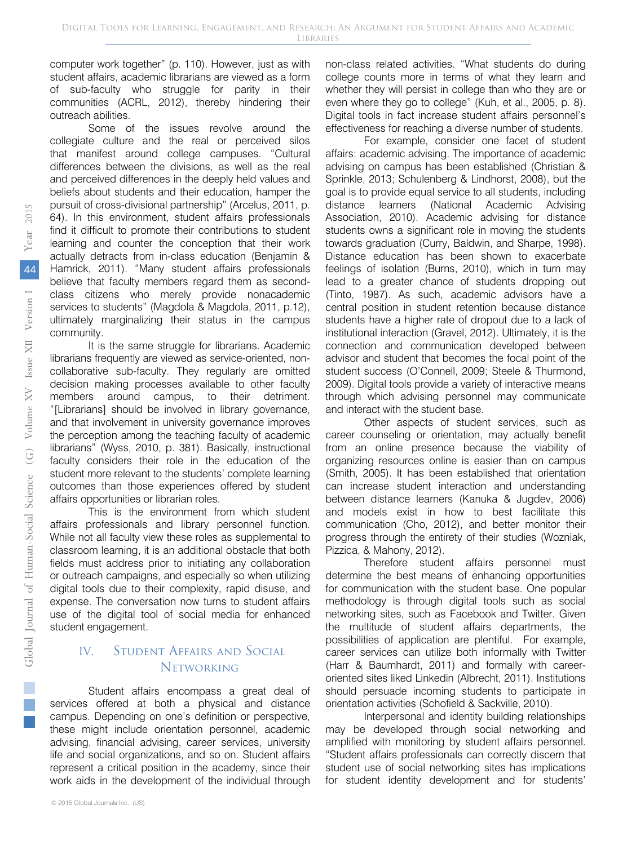computer work together" (p. 110). However, just as with student affairs, academic librarians are viewed as a form of sub-faculty who struggle for parity in their communities (ACRL, 2012), thereby hindering their outreach abilities.

Some of the issues revolve around the collegiate culture and the real or perceived silos that manifest around college campuses. "Cultural differences between the divisions, as well as the real and perceived differences in the deeply held values and beliefs about students and their education, hamper the pursuit of cross-divisional partnership" (Arcelus, 2011, p. 64). In this environment, student affairs professionals find it difficult to promote their contributions to student learning and counter the conception that their work actually detracts from in-class education (Benjamin & Hamrick, 2011). "Many student affairs professionals believe that faculty members regard them as secondclass citizens who merely provide nonacademic services to students" (Magdola & Magdola, 2011, p.12), ultimately marginalizing their status in the campus community.

It is the same struggle for librarians. Academic librarians frequently are viewed as service-oriented, noncollaborative sub-faculty. They regularly are omitted decision making processes available to other faculty members around campus, to their detriment. "[Librarians] should be involved in library governance, and that involvement in university governance improves the perception among the teaching faculty of academic librarians" (Wyss, 2010, p. 381). Basically, instructional faculty considers their role in the education of the student more relevant to the students' complete learning outcomes than those experiences offered by student affairs opportunities or librarian roles.

This is the environment from which student affairs professionals and library personnel function. While not all faculty view these roles as supplemental to classroom learning, it is an additional obstacle that both fields must address prior to initiating any collaboration or outreach campaigns, and especially so when utilizing digital tools due to their complexity, rapid disuse, and expense. The conversation now turns to student affairs use of the digital tool of social media for enhanced student engagement.

### IV. Student Affairs and Social **NETWORKING**

Student affairs encompass a great deal of services offered at both a physical and distance campus. Depending on one's definition or perspective, these might include orientation personnel, academic advising, financial advising, career services, university life and social organizations, and so on. Student affairs represent a critical position in the academy, since their work aids in the development of the individual through

For example, consider one facet of student affairs: academic advising. The importance of academic advising on campus has been established (Christian & Sprinkle, 2013; Schulenberg & Lindhorst, 2008), but the goal is to provide equal service to all students, including distance learners (National Academic Advising Association, 2010). Academic advising for distance students owns a significant role in moving the students towards graduation (Curry, Baldwin, and Sharpe, 1998). Distance education has been shown to exacerbate feelings of isolation (Burns, 2010), which in turn may lead to a greater chance of students dropping out (Tinto, 1987). As such, academic advisors have a central position in student retention because distance students have a higher rate of dropout due to a lack of institutional interaction (Gravel, 2012). Ultimately, it is the connection and communication developed between advisor and student that becomes the focal point of the student success (O'Connell, 2009; Steele & Thurmond, 2009). Digital tools provide a variety of interactive means through which advising personnel may communicate and interact with the student base.

Other aspects of student services, such as career counseling or orientation, may actually benefit from an online presence because the viability of organizing resources online is easier than on campus (Smith, 2005). It has been established that orientation can increase student interaction and understanding between distance learners (Kanuka & Jugdev, 2006) and models exist in how to best facilitate this communication (Cho, 2012), and better monitor their progress through the entirety of their studies (Wozniak, Pizzica, & Mahony, 2012).

Therefore student affairs personnel must determine the best means of enhancing opportunities for communication with the student base. One popular methodology is through digital tools such as social networking sites, such as Facebook and Twitter. Given the multitude of student affairs departments, the possibilities of application are plentiful. For example, career services can utilize both informally with Twitter (Harr & Baumhardt, 2011) and formally with careeroriented sites liked Linkedin (Albrecht, 2011). Institutions should persuade incoming students to participate in orientation activities (Schofield & Sackville, 2010).

Interpersonal and identity building relationships may be developed through social networking and amplified with monitoring by student affairs personnel. "Student affairs professionals can correctly discern that student use of social networking sites has implications for student identity development and for students'

T.  $\mathbb{R}^2$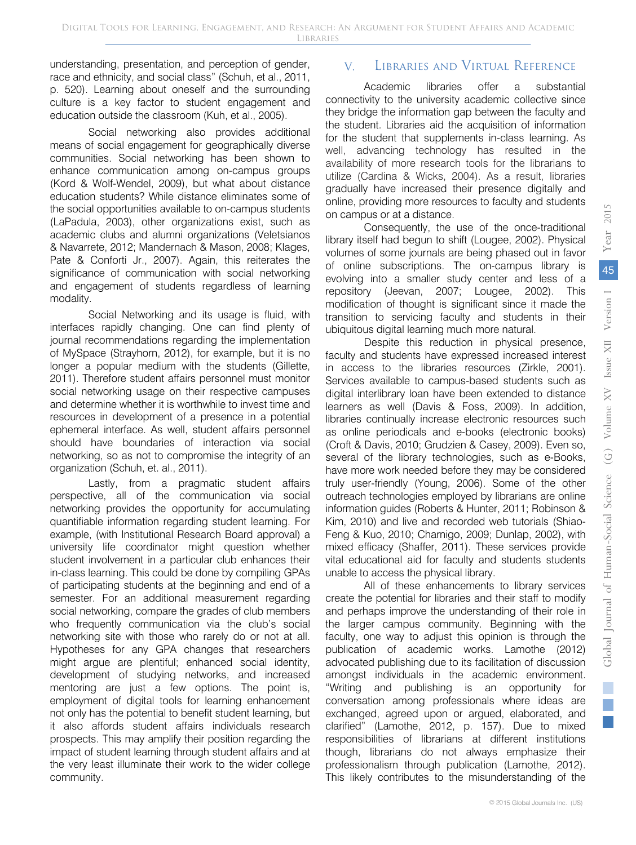understanding, presentation, and perception of gender, race and ethnicity, and social class" (Schuh, et al., 2011, p. 520). Learning about oneself and the surrounding culture is a key factor to student engagement and education outside the classroom (Kuh, et al., 2005).

Social networking also provides additional means of social engagement for geographically diverse communities. Social networking has been shown to enhance communication among on-campus groups (Kord & Wolf-Wendel, 2009), but what about distance education students? While distance eliminates some of the social opportunities available to on-campus students (LaPadula, 2003), other organizations exist, such as academic clubs and alumni organizations (Veletsianos & Navarrete, 2012; Mandernach & Mason, 2008; Klages, Pate & Conforti Jr., 2007). Again, this reiterates the significance of communication with social networking and engagement of students regardless of learning modality.

Social Networking and its usage is fluid, with interfaces rapidly changing. One can find plenty of journal recommendations regarding the implementation of MySpace (Strayhorn, 2012), for example, but it is no longer a popular medium with the students (Gillette, 2011). Therefore student affairs personnel must monitor social networking usage on their respective campuses and determine whether it is worthwhile to invest time and resources in development of a presence in a potential ephemeral interface. As well, student affairs personnel should have boundaries of interaction via social networking, so as not to compromise the integrity of an organization (Schuh, et. al., 2011).

Lastly, from a pragmatic student affairs perspective, all of the communication via social networking provides the opportunity for accumulating quantifiable information regarding student learning. For example, (with Institutional Research Board approval) a university life coordinator might question whether student involvement in a particular club enhances their in-class learning. This could be done by compiling GPAs of participating students at the beginning and end of a semester. For an additional measurement regarding social networking, compare the grades of club members who frequently communication via the club's social networking site with those who rarely do or not at all. Hypotheses for any GPA changes that researchers might argue are plentiful; enhanced social identity, development of studying networks, and increased mentoring are just a few options. The point is, employment of digital tools for learning enhancement not only has the potential to benefit student learning, but it also affords student affairs individuals research prospects. This may amplify their position regarding the impact of student learning through student affairs and at the very least illuminate their work to the wider college community.

## V. Libraries and Virtual Reference

Academic libraries offer a substantial connectivity to the university academic collective since they bridge the information gap between the faculty and the student. Libraries aid the acquisition of information for the student that supplements in-class learning. As well, advancing technology has resulted in the availability of more research tools for the librarians to utilize (Cardina & Wicks, 2004). As a result, libraries gradually have increased their presence digitally and online, providing more resources to faculty and students on campus or at a distance.

Consequently, the use of the once-traditional library itself had begun to shift (Lougee, 2002). Physical volumes of some journals are being phased out in favor of online subscriptions. The on-campus library is evolving into a smaller study center and less of a repository (Jeevan, 2007; Lougee, 2002). This modification of thought is significant since it made the transition to servicing faculty and students in their ubiquitous digital learning much more natural.

Despite this reduction in physical presence, faculty and students have expressed increased interest in access to the libraries resources (Zirkle, 2001). Services available to campus-based students such as digital interlibrary loan have been extended to distance learners as well (Davis & Foss, 2009). In addition, libraries continually increase electronic resources such as online periodicals and e-books (electronic books) (Croft & Davis, 2010; Grudzien & Casey, 2009). Even so, several of the library technologies, such as e-Books, have more work needed before they may be considered truly user-friendly (Young, 2006). Some of the other outreach technologies employed by librarians are online information guides (Roberts & Hunter, 2011; Robinson & Kim, 2010) and live and recorded web tutorials (Shiao-Feng & Kuo, 2010; Charnigo, 2009; Dunlap, 2002), with mixed efficacy (Shaffer, 2011). These services provide vital educational aid for faculty and students students unable to access the physical library.

All of these enhancements to library services create the potential for libraries and their staff to modify and perhaps improve the understanding of their role in the larger campus community. Beginning with the faculty, one way to adjust this opinion is through the publication of academic works. Lamothe (2012) advocated publishing due to its facilitation of discussion amongst individuals in the academic environment. "Writing and publishing is an opportunity for conversation among professionals where ideas are exchanged, agreed upon or argued, elaborated, and clarified" (Lamothe, 2012, p. 157). Due to mixed responsibilities of librarians at different institutions though, librarians do not always emphasize their professionalism through publication (Lamothe, 2012). This likely contributes to the misunderstanding of the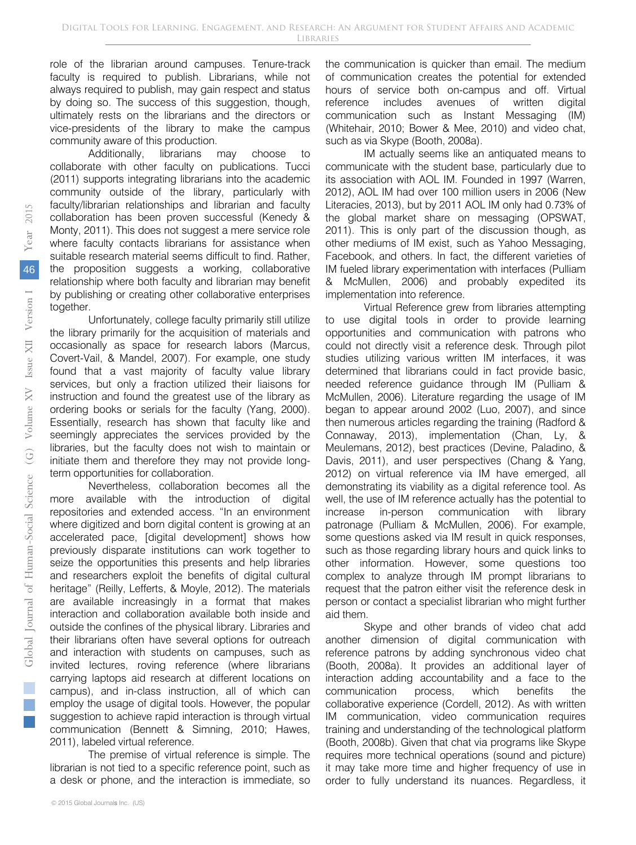role of the librarian around campuses. Tenure-track faculty is required to publish. Librarians, while not always required to publish, may gain respect and status by doing so. The success of this suggestion, though, ultimately rests on the librarians and the directors or vice-presidents of the library to make the campus community aware of this production.

Additionally, librarians may choose to collaborate with other faculty on publications. Tucci (2011) supports integrating librarians into the academic community outside of the library, particularly with faculty/librarian relationships and librarian and faculty collaboration has been proven successful (Kenedy & Monty, 2011). This does not suggest a mere service role where faculty contacts librarians for assistance when suitable research material seems difficult to find. Rather, the proposition suggests a working, collaborative relationship where both faculty and librarian may benefit by publishing or creating other collaborative enterprises together.

Unfortunately, college faculty primarily still utilize the library primarily for the acquisition of materials and occasionally as space for research labors (Marcus, Covert-Vail, & Mandel, 2007). For example, one study found that a vast majority of faculty value library services, but only a fraction utilized their liaisons for instruction and found the greatest use of the library as ordering books or serials for the faculty (Yang, 2000). Essentially, research has shown that faculty like and seemingly appreciates the services provided by the libraries, but the faculty does not wish to maintain or initiate them and therefore they may not provide longterm opportunities for collaboration.

Nevertheless, collaboration becomes all the more available with the introduction of digital repositories and extended access. "In an environment where digitized and born digital content is growing at an accelerated pace, [digital development] shows how previously disparate institutions can work together to seize the opportunities this presents and help libraries and researchers exploit the benefits of digital cultural heritage" (Reilly, Lefferts, & Moyle, 2012). The materials are available increasingly in a format that makes interaction and collaboration available both inside and outside the confines of the physical library. Libraries and their librarians often have several options for outreach and interaction with students on campuses, such as invited lectures, roving reference (where librarians carrying laptops aid research at different locations on campus), and in-class instruction, all of which can employ the usage of digital tools. However, the popular suggestion to achieve rapid interaction is through virtual communication (Bennett & Simning, 2010; Hawes, 2011), labeled virtual reference.

The premise of virtual reference is simple. The librarian is not tied to a specific reference point, such as a desk or phone, and the interaction is immediate, so the communication is quicker than email. The medium of communication creates the potential for extended hours of service both on-campus and off. Virtual reference includes avenues of written digital communication such as Instant Messaging (IM) (Whitehair, 2010; Bower & Mee, 2010) and video chat, such as via Skype (Booth, 2008a).

IM actually seems like an antiquated means to communicate with the student base, particularly due to its association with AOL IM. Founded in 1997 (Warren, 2012), AOL IM had over 100 million users in 2006 (New Literacies, 2013), but by 2011 AOL IM only had 0.73% of the global market share on messaging (OPSWAT, 2011). This is only part of the discussion though, as other mediums of IM exist, such as Yahoo Messaging, Facebook, and others. In fact, the different varieties of IM fueled library experimentation with interfaces (Pulliam & McMullen, 2006) and probably expedited its implementation into reference.

Virtual Reference grew from libraries attempting to use digital tools in order to provide learning opportunities and communication with patrons who could not directly visit a reference desk. Through pilot studies utilizing various written IM interfaces, it was determined that librarians could in fact provide basic, needed reference guidance through IM (Pulliam & McMullen, 2006). Literature regarding the usage of IM began to appear around 2002 (Luo, 2007), and since then numerous articles regarding the training (Radford & Connaway, 2013), implementation (Chan, Ly, & Meulemans, 2012), best practices (Devine, Paladino, & Davis, 2011), and user perspectives (Chang & Yang, 2012) on virtual reference via IM have emerged, all demonstrating its viability as a digital reference tool. As well, the use of IM reference actually has the potential to increase in-person communication with library patronage (Pulliam & McMullen, 2006). For example, some questions asked via IM result in quick responses, such as those regarding library hours and quick links to other information. However, some questions too complex to analyze through IM prompt librarians to request that the patron either visit the reference desk in person or contact a specialist librarian who might further aid them.

Skype and other brands of video chat add another dimension of digital communication with reference patrons by adding synchronous video chat (Booth, 2008a). It provides an additional layer of interaction adding accountability and a face to the communication process, which benefits the collaborative experience (Cordell, 2012). As with written IM communication, video communication requires training and understanding of the technological platform (Booth, 2008b). Given that chat via programs like Skype requires more technical operations (sound and picture) it may take more time and higher frequency of use in order to fully understand its nuances. Regardless, it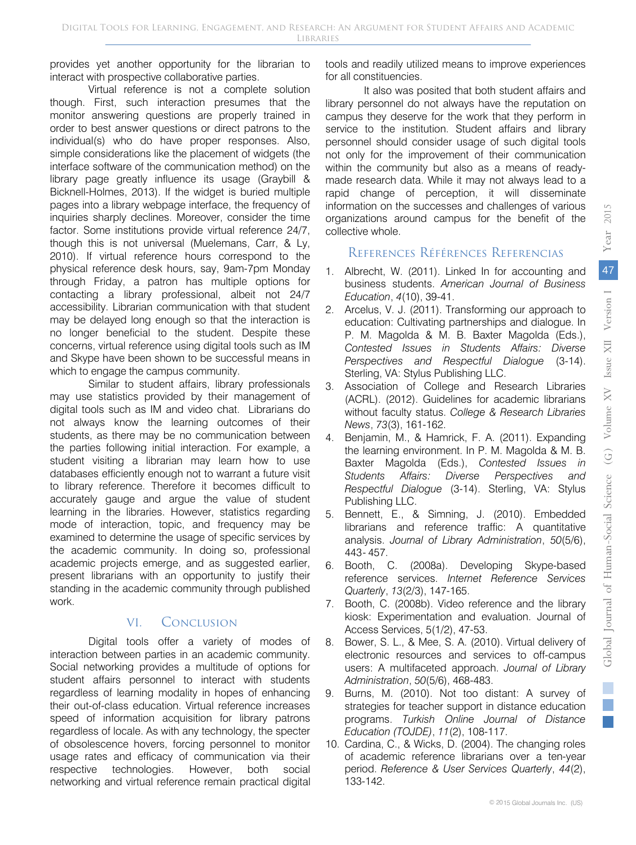provides yet another opportunity for the librarian to interact with prospective collaborative parties.

Virtual reference is not a complete solution though. First, such interaction presumes that the monitor answering questions are properly trained in order to best answer questions or direct patrons to the individual(s) who do have proper responses. Also, simple considerations like the placement of widgets (the interface software of the communication method) on the library page greatly influence its usage (Graybill & Bicknell-Holmes, 2013). If the widget is buried multiple pages into a library webpage interface, the frequency of inquiries sharply declines. Moreover, consider the time factor. Some institutions provide virtual reference 24/7, though this is not universal (Muelemans, Carr, & Ly, 2010). If virtual reference hours correspond to the physical reference desk hours, say, 9am-7pm Monday through Friday, a patron has multiple options for contacting a library professional, albeit not 24/7 accessibility. Librarian communication with that student may be delayed long enough so that the interaction is no longer beneficial to the student. Despite these concerns, virtual reference using digital tools such as IM and Skype have been shown to be successful means in which to engage the campus community.

Similar to student affairs, library professionals may use statistics provided by their management of digital tools such as IM and video chat. Librarians do not always know the learning outcomes of their students, as there may be no communication between the parties following initial interaction. For example, a student visiting a librarian may learn how to use databases efficiently enough not to warrant a future visit to library reference. Therefore it becomes difficult to accurately gauge and argue the value of student learning in the libraries. However, statistics regarding mode of interaction, topic, and frequency may be examined to determine the usage of specific services by the academic community. In doing so, professional academic projects emerge, and as suggested earlier, present librarians with an opportunity to justify their standing in the academic community through published work.

# VI. Conclusion

Digital tools offer a variety of modes of interaction between parties in an academic community. Social networking provides a multitude of options for student affairs personnel to interact with students regardless of learning modality in hopes of enhancing their out-of-class education. Virtual reference increases speed of information acquisition for library patrons regardless of locale. As with any technology, the specter of obsolescence hovers, forcing personnel to monitor usage rates and efficacy of communication via their respective technologies. However, both social networking and virtual reference remain practical digital

tools and readily utilized means to improve experiences for all constituencies.

It also was posited that both student affairs and library personnel do not always have the reputation on campus they deserve for the work that they perform in service to the institution. Student affairs and library personnel should consider usage of such digital tools not only for the improvement of their communication within the community but also as a means of readymade research data. While it may not always lead to a rapid change of perception, it will disseminate information on the successes and challenges of various organizations around campus for the benefit of the collective whole.

# References Références Referencias

- 1. Albrecht, W. (2011). Linked In for accounting and business students. *American Journal of Business Education*, *4*(10), 39-41.
- 2. Arcelus, V. J. (2011). Transforming our approach to education: Cultivating partnerships and dialogue. In P. M. Magolda & M. B. Baxter Magolda (Eds.), *Contested Issues in Students Affairs: Diverse Perspectives and Respectful Dialogue* (3-14). Sterling, VA: Stylus Publishing LLC.
- 3. Association of College and Research Libraries (ACRL). (2012). Guidelines for academic librarians without faculty status. *College & Research Libraries News*, *73*(3), 161-162.
- 4. Benjamin, M., & Hamrick, F. A. (2011). Expanding the learning environment. In P. M. Magolda & M. B. Baxter Magolda (Eds.), *Contested Issues in Students Affairs: Diverse Perspectives and Respectful Dialogue* (3-14). Sterling, VA: Stylus Publishing LLC.
- 5. Bennett, E., & Simning, J. (2010). Embedded librarians and reference traffic: A quantitative analysis. *Journal of Library Administration*, *50*(5/6), 443 - 457.
- 6. Booth, C. (2008a). Developing Skype-based reference services. *Internet Reference Services Quarterly*, *13*(2/3), 147-165.
- 7. Booth, C. (2008b). Video reference and the library kiosk: Experimentation and evaluation. Journal of Access Services, 5(1/2), 47-53.
- 8. Bower, S. L., & Mee, S. A. (2010). Virtual delivery of electronic resources and services to off-campus users: A multifaceted approach. *Journal of Library Administration*, *50*(5/6), 468-483.
- 9. Burns, M. (2010). Not too distant: A survey of strategies for teacher support in distance education programs. *Turkish Online Journal of Distance Education (TOJDE)*, *11*(2), 108-117.
- 10. Cardina, C., & Wicks, D. (2004). The changing roles of academic reference librarians over a ten-year period. *Reference & User Services Quarterly*, *44*(2), 133-142.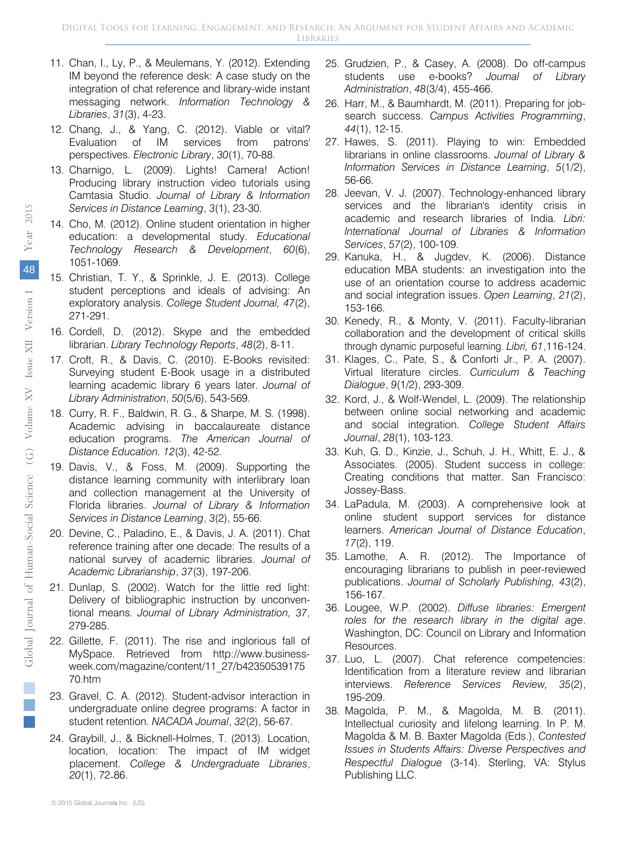- 11. Chan, I., Ly, P., & Meulemans, Y. (2012). Extending IM beyond the reference desk: A case study on the integration of chat reference and library-wide instant messaging network. *Information Technology & Libraries*, *31*(3), 4-23.
- 12. Chang, J., & Yang, C. (2012). Viable or vital? Evaluation of IM services from patrons' perspectives. *Electronic Library*, *30*(1), 70-88.
- 13. Charnigo, L. (2009). Lights! Camera! Action! Producing library instruction video tutorials using Camtasia Studio. *Journal of Library & Information Services in Distance Learning*, *3*(1), 23-30.
- 14. Cho, M. (2012). Online student orientation in higher education: a developmental study. *Educational Technology Research & Development*, *60*(6), 1051-1069.
- 15. Christian, T. Y., & Sprinkle, J. E. (2013). College student perceptions and ideals of advising: An exploratory analysis. *College Student Journal, 47*(2), 271-291.
- 16. Cordell, D. (2012). Skype and the embedded librarian. *Library Technology Reports*, *48*(2), 8-11.
- 17. Croft, R., & Davis, C. (2010). E-Books revisited: Surveying student E-Book usage in a distributed learning academic library 6 years later. *Journal of Library Administration*, *50*(5/6), 543-569.
- 18. Curry, R. F., Baldwin, R. G., & Sharpe, M. S. (1998). Academic advising in baccalaureate distance education programs. *The American Journal of Distance Education. 12*(3), 42-52.
- 19. Davis, V., & Foss, M. (2009). Supporting the distance learning community with interlibrary loan and collection management at the University of Florida libraries. *Journal of Library & Information Services in Distance Learning*, *3*(2), 55-66.
- 20. Devine, C., Paladino, E., & Davis, J. A. (2011). Chat reference training after one decade: The results of a national survey of academic libraries. *Journal of Academic Librarianship*, *37*(3), 197-206.
- 21. Dunlap, S. (2002). Watch for the little red light: Delivery of bibliographic instruction by unconventional means. *Journal of Library Administration, 37*, 279-285.
- 22. Gillette, F. (2011). The rise and inglorious fall of MySpace. Retrieved from http://www.businessweek.com/magazine/content/11\_27/b42350539175 70.htm
- 23. Gravel, C. A. (2012). Student-advisor interaction in undergraduate online degree programs: A factor in student retention. *NACADA Journal*, *32*(2), 56-67.
- 24. Graybill, J., & Bicknell-Holmes, T. (2013). Location, location, location: The impact of IM widget placement. *College & Undergraduate Libraries*, *20*(1), 72-86.
- 25. Grudzien, P., & Casey, A. (2008). Do off-campus students use e-books? *Journal of Library Administration*, *48*(3/4), 455-466.
- 26. Harr, M., & Baumhardt, M. (2011). Preparing for jobsearch success. *Campus Activities Programming*, *44*(1), 12-15.
- 27. Hawes, S. (2011). Playing to win: Embedded librarians in online classrooms. *Journal of Library & Information Services in Distance Learning*, *5*(1/2), 56-66.
- 28. Jeevan, V. J. (2007). Technology-enhanced library services and the librarian's identity crisis in academic and research libraries of India. *Libri: International Journal of Libraries & Information Services*, *57*(2), 100-109.
- 29. Kanuka, H., & Jugdev, K. (2006). Distance education MBA students: an investigation into the use of an orientation course to address academic and social integration issues. *Open Learning*, *21*(2), 153-166.
- 30. Kenedy, R., & Monty, V. (2011). Faculty-librarian collaboration and the development of critical skills through dynamic purposeful learning. Libri, 61,116-124.
- 31. Klages, C., Pate, S., & Conforti Jr., P. A. (2007). Virtual literature circles. *Curriculum & Teaching Dialogue*, *9*(1/2), 293-309.
- 32. Kord, J., & Wolf-Wendel, L. (2009). The relationship between online social networking and academic and social integration. *College Student Affairs Journal*, *28*(1), 103-123.
- 33. Kuh, G. D., Kinzie, J., Schuh, J. H., Whitt, E. J., & Associates. (2005). Student success in college: Creating conditions that matter. San Francisco: Jossey-Bass.
- 34. LaPadula, M. (2003). A comprehensive look at online student support services for distance learners. *American Journal of Distance Education*, *17*(2), 119.
- 35. Lamothe, A. R. (2012). The Importance of encouraging librarians to publish in peer-reviewed publications. *Journal of Scholarly Publishing, 43*(2), 156-167.
- 36. Lougee, W.P. (2002). *Diffuse libraries: Emergent roles for the research library in the digital age*. Washington, DC: Council on Library and Information Resources.
- 37. Luo, L. (2007). Chat reference competencies: Identification from a literature review and librarian interviews. *Reference Services Review, 35*(2), 195-209.
- 38. Magolda, P. M., & Magolda, M. B. (2011). Intellectual curiosity and lifelong learning. In P. M. Magolda & M. B. Baxter Magolda (Eds.), *Contested Issues in Students Affairs: Diverse Perspectives and Respectful Dialogue* (3-14). Sterling, VA: Stylus Publishing LLC.

 $\mathbb{R}^2$ 

© 2015 Global Journals Inc. (US)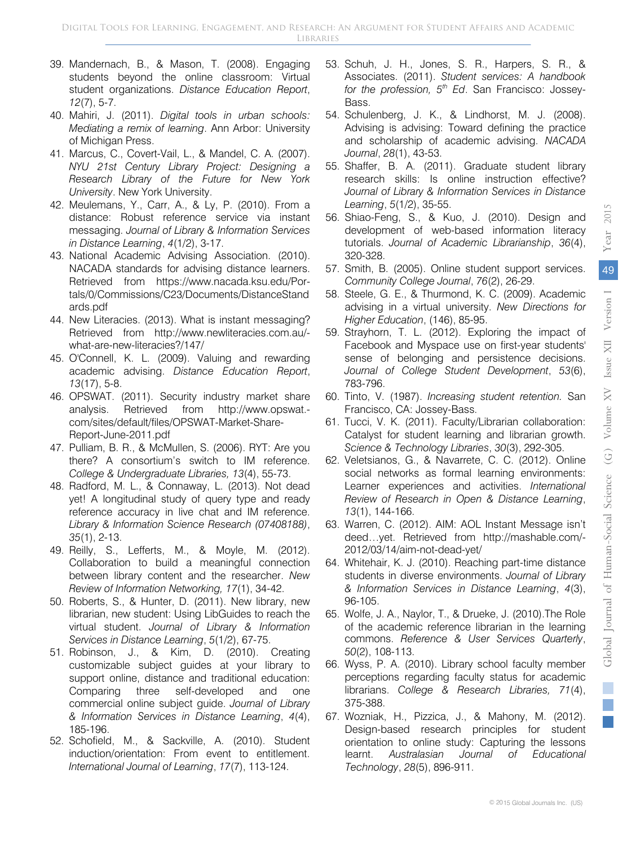- 39. Mandernach, B., & Mason, T. (2008). Engaging students beyond the online classroom: Virtual student organizations. *Distance Education Report*, *12*(7), 5-7.
- 40. Mahiri, J. (2011). *Digital tools in urban schools: Mediating a remix of learning*. Ann Arbor: University of Michigan Press.
- 41. Marcus, C., Covert-Vail, L., & Mandel, C. A. (2007). *NYU 21st Century Library Project: Designing a Research Library of the Future for New York University*. New York University.
- 42. Meulemans, Y., Carr, A., & Ly, P. (2010). From a distance: Robust reference service via instant messaging. *Journal of Library & Information Services in Distance Learning*, *4*(1/2), 3-17.
- 43. National Academic Advising Association. (2010). NACADA standards for advising distance learners. tals/0/Commissions/C23/Documents/DistanceStand Retrieved from https://www.nacada.ksu.edu/Porards.pdf
- 44. New Literacies. (2013). What is instant messaging? Retrieved from http://www.newliteracies.com.au/ what-are-new-literacies?/147/
- 45. O'Connell, K. L. (2009). Valuing and rewarding academic advising. *Distance Education Report*, *13*(17), 5-8.
- 46. OPSWAT. (2011). Security industry market share analysis. Retrieved from http://www.opswat. com/sites/default/files/OPSWAT-Market-Share-Report-June-2011.pdf
- 47. Pulliam, B. R., & McMullen, S. (2006). RYT: Are you there? A consortium's switch to IM reference. *College & Undergraduate Libraries, 13*(4), 55-73.
- 48. Radford, M. L., & Connaway, L. (2013). Not dead yet! A longitudinal study of query type and ready reference accuracy in live chat and IM reference. *Library & Information Science Research (07408188)*, *35*(1), 2-13.
- 49. Reilly, S., Lefferts, M., & Moyle, M. (2012). Collaboration to build a meaningful connection between library content and the researcher. *New Review of Information Networking, 17*(1), 34-42.
- 50. Roberts, S., & Hunter, D. (2011). New library, new librarian, new student: Using LibGuides to reach the virtual student. *Journal of Library & Information Services in Distance Learning*, *5*(1/2), 67-75.
- 51. Robinson, J., & Kim, D. (2010). Creating customizable subject guides at your library to support online, distance and traditional education: Comparing three self-developed and one commercial online subject guide. *Journal of Library & Information Services in Distance Learning*, *4*(4), 185-196.
- 52. Schofield, M., & Sackville, A. (2010). Student induction/orientation: From event to entitlement. *International Journal of Learning*, *17*(7), 113-124.
- 53. Schuh, J. H., Jones, S. R., Harpers, S. R., & Associates. (2011). *Student services: A handbook for the profession, 5<sup>th</sup> Ed.* San Francisco: Jossey-Bass.
- 54. Schulenberg, J. K., & Lindhorst, M. J. (2008). Advising is advising: Toward defining the practice and scholarship of academic advising. *NACADA Journal*, *28*(1), 43-53.
- 55. Shaffer, B. A. (2011). Graduate student library research skills: Is online instruction effective? *Journal of Library & Information Services in Distance Learning*, *5*(1/2), 35-55.
- 56. Shiao-Feng, S., & Kuo, J. (2010). Design and development of web-based information literacy tutorials. *Journal of Academic Librarianship*, *36*(4), 320-328.
- 57. Smith, B. (2005). Online student support services. *Community College Journal*, *76*(2), 26-29.
- 58. Steele, G. E., & Thurmond, K. C. (2009). Academic advising in a virtual university. *New Directions for Higher Education*, (146), 85-95.
- 59. Strayhorn, T. L. (2012). Exploring the impact of Facebook and Myspace use on first-year students' sense of belonging and persistence decisions. *Journal of College Student Development*, *53*(6), 783-796.
- 60. Tinto, V. (1987). *Increasing student retention.* San Francisco, CA: Jossey-Bass.
- 61. Tucci, V. K. (2011). Faculty/Librarian collaboration: Catalyst for student learning and librarian growth. *Science & Technology Libraries*, *30*(3), 292-305.
- 62. Veletsianos, G., & Navarrete, C. C. (2012). Online social networks as formal learning environments: Learner experiences and activities. *International Review of Research in Open & Distance Learning*, *13*(1), 144-166.
- 63. Warren, C. (2012). AIM: AOL Instant Message isn't deed…yet. Retrieved from http://mashable.com/- 2012/03/14/aim-not-dead-yet/
- 64. Whitehair, K. J. (2010). Reaching part-time distance students in diverse environments. *Journal of Library & Information Services in Distance Learning*, *4*(3), 96-105.
- 65. Wolfe, J. A., Naylor, T., & Drueke, J. (2010).The Role of the academic reference librarian in the learning commons. *Reference & User Services Quarterly*, *50*(2), 108-113.
- 66. Wyss, P. A. (2010). Library school faculty member perceptions regarding faculty status for academic librarians. *College & Research Libraries, 71*(4), 375-388.
- 67. Wozniak, H., Pizzica, J., & Mahony, M. (2012). Design-based research principles for student orientation to online study: Capturing the lessons learnt. *Australasian Journal of Educational Technology*, *28*(5), 896-911.